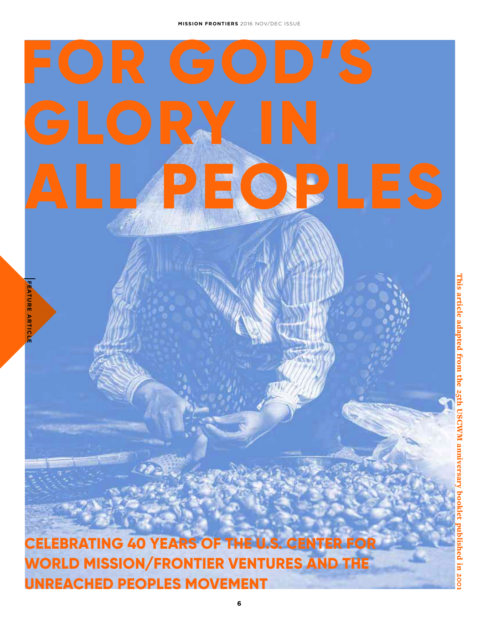# **GLORY IN ALL PEOPLES**

**CELEBRATING 40 YEARS OF THE U.S. CENTER FOR WORLD MISSION/FRONTIER VENTURES AND THE UNREACHED PEOPLES MOVEMENT**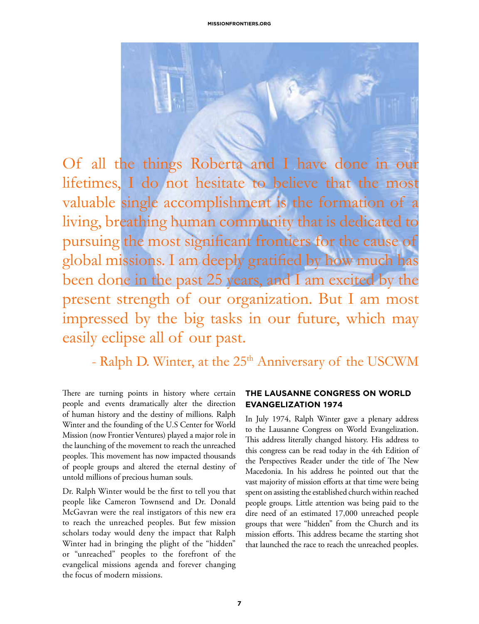

Of all the things Roberta and I have done in our lifetimes, I do not hesitate to believe that the most valuable single accomplishment is the formation of a living, breathing human community that is dedicated to pursuing the most significant frontiers for the cause of global missions. I am deeply gratified by how much has been done in the past 25 years, and I am excited by the present strength of our organization. But I am most impressed by the big tasks in our future, which may easily eclipse all of our past.

- Ralph D. Winter, at the 25<sup>th</sup> Anniversary of the USCWM

There are turning points in history where certain people and events dramatically alter the direction of human history and the destiny of millions. Ralph Winter and the founding of the U.S Center for World Mission (now Frontier Ventures) played a major role in the launching of the movement to reach the unreached peoples. This movement has now impacted thousands of people groups and altered the eternal destiny of untold millions of precious human souls.

Dr. Ralph Winter would be the first to tell you that people like Cameron Townsend and Dr. Donald McGavran were the real instigators of this new era to reach the unreached peoples. But few mission scholars today would deny the impact that Ralph Winter had in bringing the plight of the "hidden" or "unreached" peoples to the forefront of the evangelical missions agenda and forever changing the focus of modern missions.

#### **THE LAUSANNE CONGRESS ON WORLD EVANGELIZATION 1974**

In July 1974, Ralph Winter gave a plenary address to the Lausanne Congress on World Evangelization. This address literally changed history. His address to this congress can be read today in the 4th Edition of the Perspectives Reader under the title of The New Macedonia. In his address he pointed out that the vast majority of mission efforts at that time were being spent on assisting the established church within reached people groups. Little attention was being paid to the dire need of an estimated 17,000 unreached people groups that were "hidden" from the Church and its mission efforts. This address became the starting shot that launched the race to reach the unreached peoples.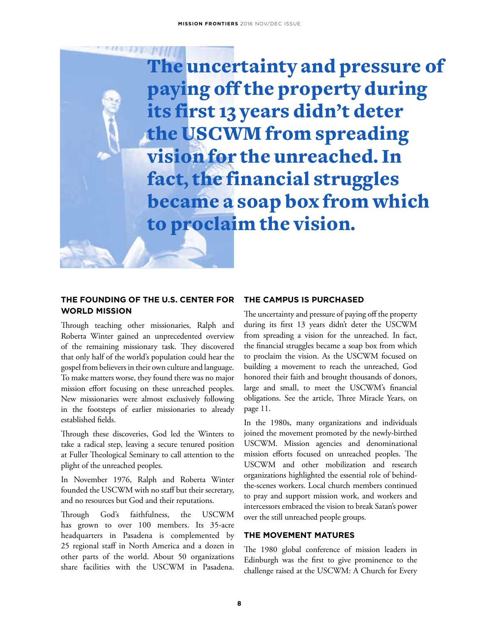The uncertainty and pressure of paying off the property during its first 13 years didn't deter the USCWM from spreading vision for the unreached. In fact, the financial struggles became a soap box from which to proclaim the vision.

#### **THE FOUNDING OF THE U.S. CENTER FOR WORLD MISSION**

Through teaching other missionaries, Ralph and Roberta Winter gained an unprecedented overview of the remaining missionary task. They discovered that only half of the world's population could hear the gospel from believers in their own culture and language. To make matters worse, they found there was no major mission effort focusing on these unreached peoples. New missionaries were almost exclusively following in the footsteps of earlier missionaries to already established fields.

Through these discoveries, God led the Winters to take a radical step, leaving a secure tenured position at Fuller Theological Seminary to call attention to the plight of the unreached peoples.

In November 1976, Ralph and Roberta Winter founded the USCWM with no staff but their secretary, and no resources but God and their reputations.

Through God's faithfulness, the USCWM has grown to over 100 members. Its 35-acre headquarters in Pasadena is complemented by 25 regional staff in North America and a dozen in other parts of the world. About 50 organizations share facilities with the USCWM in Pasadena.

#### **THE CAMPUS IS PURCHASED**

The uncertainty and pressure of paying off the property during its first 13 years didn't deter the USCWM from spreading a vision for the unreached. In fact, the financial struggles became a soap box from which to proclaim the vision. As the USCWM focused on building a movement to reach the unreached, God honored their faith and brought thousands of donors, large and small, to meet the USCWM's financial obligations. See the article, Three Miracle Years, on page 11.

In the 1980s, many organizations and individuals joined the movement promoted by the newly-birthed USCWM. Mission agencies and denominational mission efforts focused on unreached peoples. The USCWM and other mobilization and research organizations highlighted the essential role of behindthe-scenes workers. Local church members continued to pray and support mission work, and workers and intercessors embraced the vision to break Satan's power over the still unreached people groups.

#### **THE MOVEMENT MATURES**

The 1980 global conference of mission leaders in Edinburgh was the first to give prominence to the challenge raised at the USCWM: A Church for Every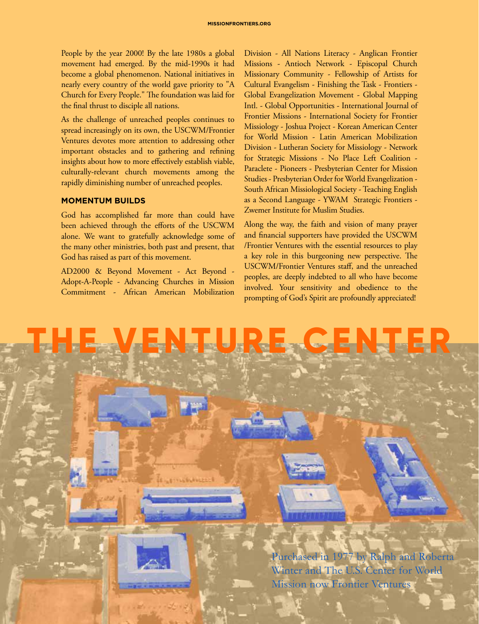People by the year 2000! By the late 1980s a global movement had emerged. By the mid-1990s it had become a global phenomenon. National initiatives in nearly every country of the world gave priority to "A Church for Every People." The foundation was laid for the final thrust to disciple all nations.

As the challenge of unreached peoples continues to spread increasingly on its own, the USCWM/Frontier Ventures devotes more attention to addressing other important obstacles and to gathering and refining insights about how to more effectively establish viable, culturally-relevant church movements among the rapidly diminishing number of unreached peoples.

#### **MOMENTUM BUILDS**

God has accomplished far more than could have been achieved through the efforts of the USCWM alone. We want to gratefully acknowledge some of the many other ministries, both past and present, that God has raised as part of this movement.

AD2000 & Beyond Movement - Act Beyond - Adopt-A-People - Advancing Churches in Mission Commitment - African American Mobilization

Division - All Nations Literacy - Anglican Frontier Missions - Antioch Network - Episcopal Church Missionary Community - Fellowship of Artists for Cultural Evangelism - Finishing the Task - Frontiers - Global Evangelization Movement - Global Mapping Intl. - Global Opportunities - International Journal of Frontier Missions - International Society for Frontier Missiology - Joshua Project - Korean American Center for World Mission - Latin American Mobilization Division - Lutheran Society for Missiology - Network for Strategic Missions - No Place Left Coalition - Paraclete - Pioneers - Presbyterian Center for Mission Studies - Presbyterian Order for World Evangelization - South African Missiological Society - Teaching English as a Second Language - YWAM Strategic Frontiers - Zwemer Institute for Muslim Studies.

Along the way, the faith and vision of many prayer and financial supporters have provided the USCWM /Frontier Ventures with the essential resources to play a key role in this burgeoning new perspective. The USCWM/Frontier Ventures staff, and the unreached peoples, are deeply indebted to all who have become involved. Your sensitivity and obedience to the prompting of God's Spirit are profoundly appreciated!

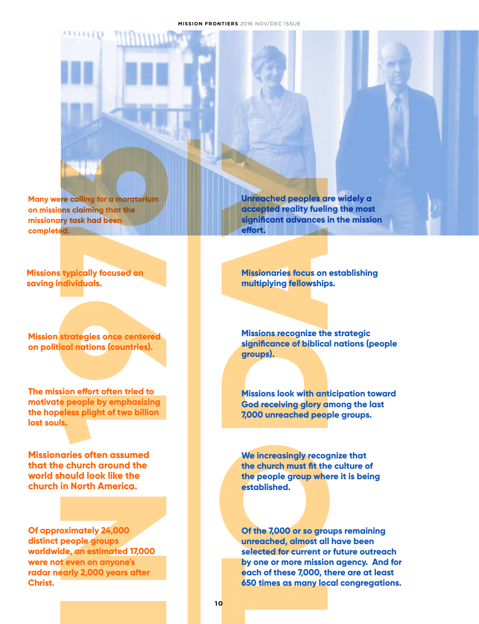**Many were calling for a moratorium on missions claiming that the missionary task had been completed.**

**Missions typically focused on saving individuals.**

**Mission strategies once centered on political nations (countries).**

**The mission effort often tried to motivate people by emphasizing the hopeless plight of two billion lost souls.**

**Missionaries often assumed that the church around the world should look like the church in North America.**

**Of approximately 24,000 distinct people groups worldwide, an estimated 17,000 were not even on anyone's radar nearly 2,000 years after Christ.** 

**accepted reality fueling the most significant advances in the mission effort.**

**Missionaries focus on establishing multiplying fellowships.**

**Missions recognize the strategic significance of biblical nations (people groups).**

**Missions look with anticipation toward God receiving glory among the last 7,000 unreached people groups.**

**We increasingly recognize that the church must fit the culture of the people group where it is being established.** 

**INTERCATE CONDEAL CONDEAL CONDEAL CONDEAL CONDEAL CONDEAL CONDEAL CONDEAL CONDEAL CONDEAL CONDEAL CONDEAL CONDEAL CONDEAL CONDEAL CONDEAL CONDEAL CONDEAL CONDEAL CONDEAL CONDEAL CONDEAL CONDEAL CONDEAL CONDEAL CONDEAL CON Of the 7,000 or so groups remaining unreached, almost all have been selected for current or future outreach by one or more mission agency. And for each of these 7,000, there are at least 650 times as many local congregations.**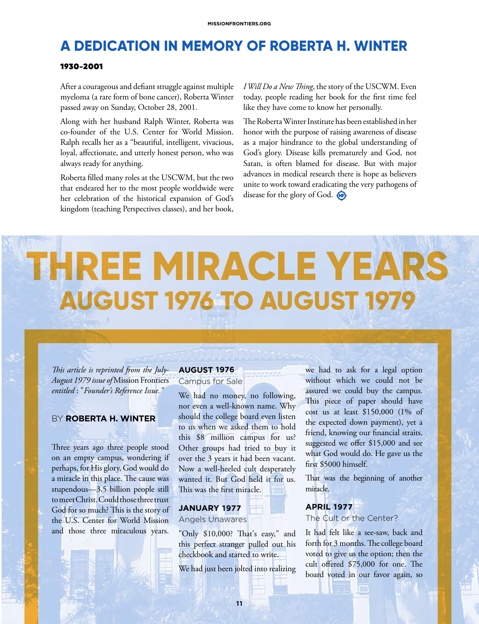### **A DEDICATION IN MEMORY OF ROBERTA H. WINTER**

#### **1930-2001**

After a courageous and defiant struggle against multiple myeloma (a rare form of bone cancer), Roberta Winter passed away on Sunday, October 28, 2001.

Along with her husband Ralph Winter, Roberta was co-founder of the U.S. Center for World Mission. Ralph recalls her as a "beautiful, intelligent, vivacious, loyal, affectionate, and utterly honest person, who was always ready for anything.

Roberta filled many roles at the USCWM, but the two that endeared her to the most people worldwide were her celebration of the historical expansion of God's kingdom (teaching Perspectives classes), and her book, *I Will Do a New Thing*, the story of the USCWM. Even today, people reading her book for the first time feel like they have come to know her personally.

The Roberta Winter Institute has been established in her honor with the purpose of raising awareness of disease as a major hindrance to the global understanding of God's glory. Disease kills prematurely and God, not Satan, is often blamed for disease. But with major advances in medical research there is hope as believers unite to work toward eradicating the very pathogens of disease for the glory of God.

## **THREE MIRACLE YEARS AUGUST 1976 TO AUGUST 1979**

*This article is reprinted from the July-August 1979 issue of* Mission Frontiers *entitled* : "*Founder's Reference Issue."*

#### BY **ROBERTA H. WINTER**

Three years ago three people stood on an empty campus, wondering if perhaps, for His glory, God would do a miracle in this place. The cause was stupendous—3.5 billion people still to meet Christ. Could those three trust God for so much? This is the story of the U.S. Center for World Mission and those three miraculous years.

#### **AUGUST 1976**

Campus for Sale

We had no money, no following, nor even a well-known name. Why should the college board even listen to us when we asked them to hold this \$8 million campus for us? Other groups had tried to buy it over the 3 years it had been vacant. Now a well-heeled cult desperately wanted it. But God held it for us. This was the first miracle.

#### **JANUARY 1977**

#### Angels Unawares

"Only \$10,000? That's easy," and this perfect stranger pulled out his checkbook and started to write.

We had just been jolted into realizing

we had to ask for a legal option without which we could not be assured we could buy the campus. This piece of paper should have cost us at least \$150,000 (1% of the expected down payment), yet a friend, knowing our financial straits, suggested we offer \$15,000 and see what God would do. He gave us the first \$5000 himself.

That was the beginning of another miracle.

#### **APRIL 1977**

The Cult or the Center?

It had felt like a see-saw, back and forth for 3 months. The college board voted to give us the option; then the cult offered \$75,000 for one. The board voted in our favor again, so

**CONTRACT**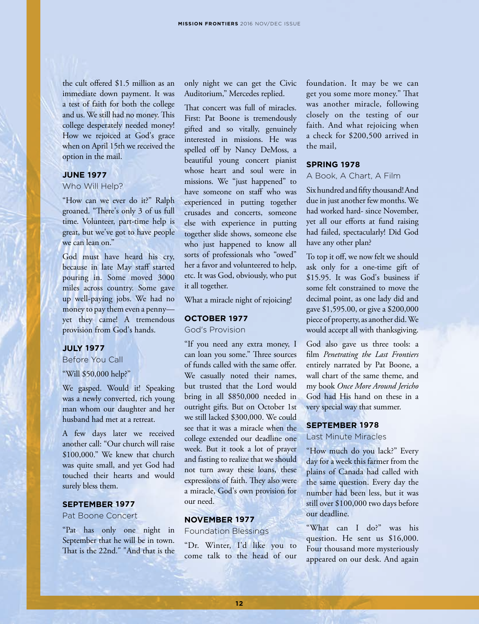the cult offered \$1.5 million as an immediate down payment. It was a test of faith for both the college and us. We still had no money. This college desperately needed money! How we rejoiced at God's grace when on April 15th we received the option in the mail.

#### **JUNE 1977**

#### Who Will Help?

"How can we ever do it?" Ralph groaned. "There's only 3 of us full time. Volunteer, part-time help is great, but we've got to have people we can lean on."

God must have heard his cry, because in late May staff started pouring in. Some moved 3000 miles across country. Some gave up well-paying jobs. We had no money to pay them even a penny yet they came! A tremendous provision from God's hands.

#### **JULY 1977**

Before You Call

"Will \$50,000 help?"

We gasped. Would it! Speaking was a newly converted, rich young man whom our daughter and her husband had met at a retreat.

A few days later we received another call: "Our church will raise \$100,000." We knew that church was quite small, and yet God had touched their hearts and would surely bless them.

#### **SEPTEMBER 1977**

Pat Boone Concert

"Pat has only one night in September that he will be in town. That is the 22nd." "And that is the only night we can get the Civic Auditorium," Mercedes replied.

That concert was full of miracles. First: Pat Boone is tremendously gifted and so vitally, genuinely interested in missions. He was spelled off by Nancy DeMoss, a beautiful young concert pianist whose heart and soul were in missions. We "just happened" to have someone on staff who was experienced in putting together crusades and concerts, someone else with experience in putting together slide shows, someone else who just happened to know all sorts of professionals who "owed" her a favor and volunteered to help, etc. It was God, obviously, who put it all together.

What a miracle night of rejoicing!

#### **OCTOBER 1977**

God's Provision

"If you need any extra money, I can loan you some." Three sources of funds called with the same offer. We casually noted their names, but trusted that the Lord would bring in all \$850,000 needed in outright gifts. But on October 1st we still lacked \$300,000. We could see that it was a miracle when the college extended our deadline one week. But it took a lot of prayer and fasting to realize that we should not turn away these loans, these expressions of faith. They also were a miracle, God's own provision for our need.

#### **NOVEMBER 1977**

Foundation Blessings

"Dr. Winter, I'd like you to come talk to the head of our foundation. It may be we can get you some more money." That was another miracle, following closely on the testing of our faith. And what rejoicing when a check for \$200,500 arrived in the mail,

#### **SPRING 1978**

#### A Book, A Chart, A Film

Six hundred and fifty thousand! And due in just another few months. We had worked hard- since November, yet all our efforts at fund raising had failed, spectacularly! Did God have any other plan?

To top it off, we now felt we should ask only for a one-time gift of \$15.95. It was God's business if some felt constrained to move the decimal point, as one lady did and gave \$1,595.00, or give a \$200,000 piece of property, as another did. We would accept all with thanksgiving.

God also gave us three tools: a film *Penetrating the Last Frontiers*  entirely narrated by Pat Boone, a wall chart of the same theme, and my book *Once More Around Jericho* God had His hand on these in a very special way that summer.

#### **SEPTEMBER 1978**

Last Minute Miracles

"How much do you lack?" Every day for a week this farmer from the plains of Canada had called with the same question. Every day the number had been less, but it was still over \$100,000 two days before our deadline.

"What can I do?" was his question. He sent us \$16,000. Four thousand more mysteriously appeared on our desk. And again